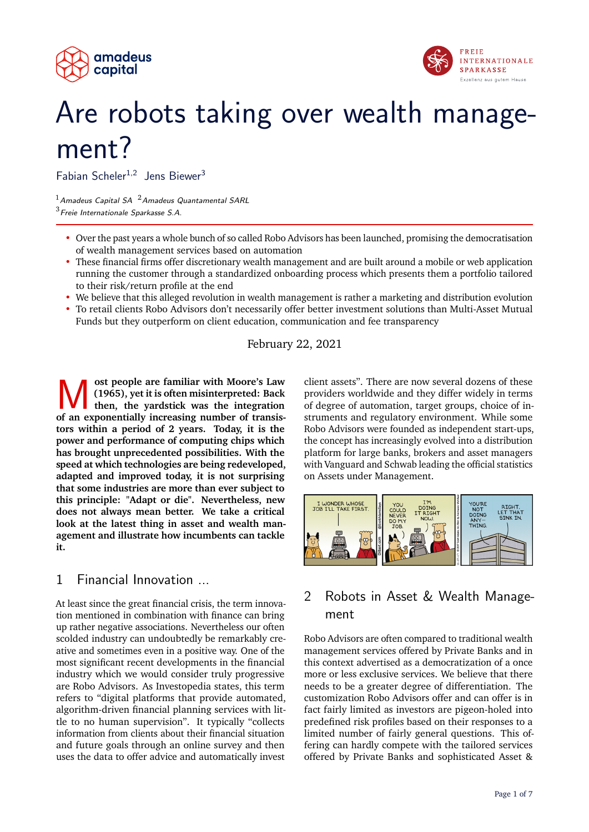



# Are robots taking over wealth management?

Fabian Scheler<sup>1,2</sup> Jens Biewer<sup>3</sup>

 $1$ Amadeus Capital SA  $2$ Amadeus Quantamental SARL  $3$  Freie Internationale Sparkasse S.A.

- Over the past years a whole bunch of so called Robo Advisors has been launched, promising the democratisation of wealth management services based on automation
- These financial firms offer discretionary wealth management and are built around a mobile or web application running the customer through a standardized onboarding process which presents them a portfolio tailored to their risk/return profile at the end
- We believe that this alleged revolution in wealth management is rather a marketing and distribution evolution
- To retail clients Robo Advisors don't necessarily offer better investment solutions than Multi-Asset Mutual Funds but they outperform on client education, communication and fee transparency

February 22, 2021

**M** (1965), yet it is often misinterpreted: Back then, the yardstick was the integration of an exponentially increasing number of transis**ost people are familiar with Moore's Law (1965), yet it is often misinterpreted: Back then, the yardstick was the integration tors within a period of 2 years. Today, it is the power and performance of computing chips which has brought unprecedented possibilities. With the speed at which technologies are being redeveloped, adapted and improved today, it is not surprising that some industries are more than ever subject to this principle: "Adapt or die". Nevertheless, new does not always mean better. We take a critical look at the latest thing in asset and wealth management and illustrate how incumbents can tackle it.**

## 1 Financial Innovation ...

At least since the great financial crisis, the term innovation mentioned in combination with finance can bring up rather negative associations. Nevertheless our often scolded industry can undoubtedly be remarkably creative and sometimes even in a positive way. One of the most significant recent developments in the financial industry which we would consider truly progressive are Robo Advisors. As Investopedia states, this term refers to "digital platforms that provide automated, algorithm-driven financial planning services with little to no human supervision". It typically "collects information from clients about their financial situation and future goals through an online survey and then uses the data to offer advice and automatically invest

client assets". There are now several dozens of these providers worldwide and they differ widely in terms of degree of automation, target groups, choice of instruments and regulatory environment. While some Robo Advisors were founded as independent start-ups, the concept has increasingly evolved into a distribution platform for large banks, brokers and asset managers with Vanguard and Schwab leading the official statistics on Assets under Management.



# 2 Robots in Asset & Wealth Management

Robo Advisors are often compared to traditional wealth management services offered by Private Banks and in this context advertised as a democratization of a once more or less exclusive services. We believe that there needs to be a greater degree of differentiation. The customization Robo Advisors offer and can offer is in fact fairly limited as investors are pigeon-holed into predefined risk profiles based on their responses to a limited number of fairly general questions. This offering can hardly compete with the tailored services offered by Private Banks and sophisticated Asset &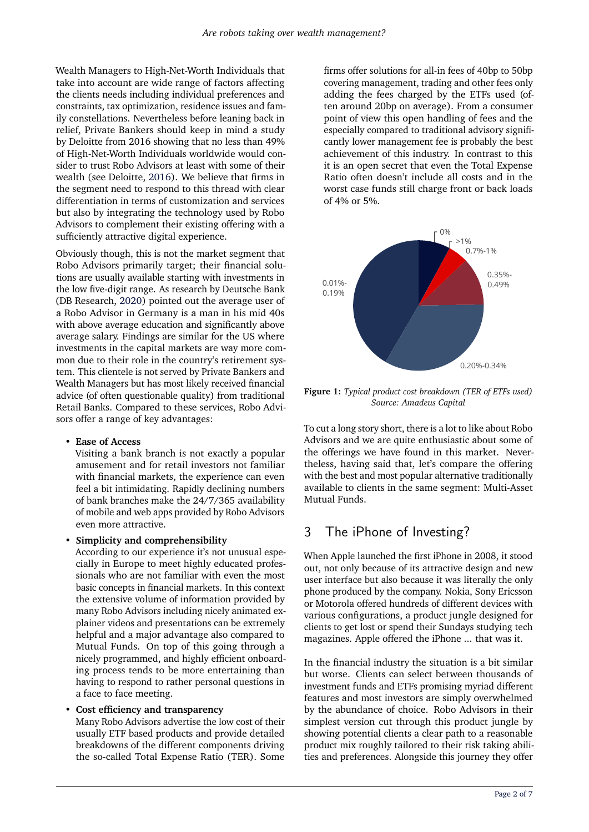Wealth Managers to High-Net-Worth Individuals that take into account are wide range of factors affecting the clients needs including individual preferences and constraints, tax optimization, residence issues and family constellations. Nevertheless before leaning back in relief, Private Bankers should keep in mind a study by Deloitte from 2016 showing that no less than 49% of High-Net-Worth Individuals worldwide would consider to trust Robo Advisors at least with some of their wealth (see Deloitte, [2016\)](#page-6-1). We believe that firms in the segment need to respond to this thread with clear differentiation in terms of customization and services but also by integrating the technology used by Robo Advisors to complement their existing offering with a sufficiently attractive digital experience.

Obviously though, this is not the market segment that Robo Advisors primarily target; their financial solutions are usually available starting with investments in the low five-digit range. As research by Deutsche Bank (DB Research, [2020\)](#page-6-2) pointed out the average user of a Robo Advisor in Germany is a man in his mid 40s with above average education and significantly above average salary. Findings are similar for the US where investments in the capital markets are way more common due to their role in the country's retirement system. This clientele is not served by Private Bankers and Wealth Managers but has most likely received financial advice (of often questionable quality) from traditional Retail Banks. Compared to these services, Robo Advisors offer a range of key advantages:

• **Ease of Access**

Visiting a bank branch is not exactly a popular amusement and for retail investors not familiar with financial markets, the experience can even feel a bit intimidating. Rapidly declining numbers of bank branches make the 24/7/365 availability of mobile and web apps provided by Robo Advisors even more attractive.

#### • **Simplicity and comprehensibility**

According to our experience it's not unusual especially in Europe to meet highly educated professionals who are not familiar with even the most basic concepts in financial markets. In this context the extensive volume of information provided by many Robo Advisors including nicely animated explainer videos and presentations can be extremely helpful and a major advantage also compared to Mutual Funds. On top of this going through a nicely programmed, and highly efficient onboarding process tends to be more entertaining than having to respond to rather personal questions in a face to face meeting.

#### • **Cost efficiency and transparency**

Many Robo Advisors advertise the low cost of their usually ETF based products and provide detailed breakdowns of the different components driving the so-called Total Expense Ratio (TER). Some

firms offer solutions for all-in fees of 40bp to 50bp covering management, trading and other fees only adding the fees charged by the ETFs used (often around 20bp on average). From a consumer point of view this open handling of fees and the especially compared to traditional advisory significantly lower management fee is probably the best achievement of this industry. In contrast to this it is an open secret that even the Total Expense Ratio often doesn't include all costs and in the worst case funds still charge front or back loads of 4% or 5%.



**Figure 1:** *Typical product cost breakdown (TER of ETFs used) Source: Amadeus Capital*

To cut a long story short, there is a lot to like about Robo Advisors and we are quite enthusiastic about some of the offerings we have found in this market. Nevertheless, having said that, let's compare the offering with the best and most popular alternative traditionally available to clients in the same segment: Multi-Asset Mutual Funds.

## 3 The iPhone of Investing?

When Apple launched the first iPhone in 2008, it stood out, not only because of its attractive design and new user interface but also because it was literally the only phone produced by the company. Nokia, Sony Ericsson or Motorola offered hundreds of different devices with various configurations, a product jungle designed for clients to get lost or spend their Sundays studying tech magazines. Apple offered the iPhone ... that was it.

In the financial industry the situation is a bit similar but worse. Clients can select between thousands of investment funds and ETFs promising myriad different features and most investors are simply overwhelmed by the abundance of choice. Robo Advisors in their simplest version cut through this product jungle by showing potential clients a clear path to a reasonable product mix roughly tailored to their risk taking abilities and preferences. Alongside this journey they offer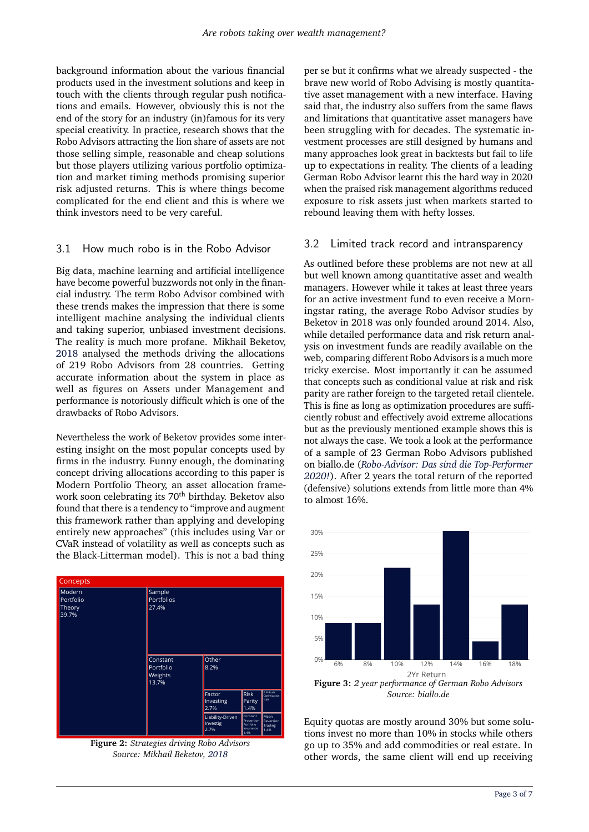background information about the various financial products used in the investment solutions and keep in touch with the clients through regular push notifications and emails. However, obviously this is not the end of the story for an industry (in)famous for its very special creativity. In practice, research shows that the Robo Advisors attracting the lion share of assets are not those selling simple, reasonable and cheap solutions but those players utilizing various portfolio optimization and market timing methods promising superior risk adjusted returns. This is where things become complicated for the end client and this is where we think investors need to be very careful.

#### 3.1 How much robo is in the Robo Advisor

Big data, machine learning and artificial intelligence have become powerful buzzwords not only in the financial industry. The term Robo Advisor combined with these trends makes the impression that there is some intelligent machine analysing the individual clients and taking superior, unbiased investment decisions. The reality is much more profane. Mikhail Beketov, [2018](#page-6-3) analysed the methods driving the allocations of 219 Robo Advisors from 28 countries. Getting accurate information about the system in place as well as figures on Assets under Management and performance is notoriously difficult which is one of the drawbacks of Robo Advisors.

Nevertheless the work of Beketov provides some interesting insight on the most popular concepts used by firms in the industry. Funny enough, the dominating concept driving allocations according to this paper is Modern Portfolio Theory, an asset allocation framework soon celebrating its 70<sup>th</sup> birthday. Beketov also found that there is a tendency to "improve and augment this framework rather than applying and developing entirely new approaches" (this includes using Var or CVaR instead of volatility as well as concepts such as the Black-Litterman model). This is not a bad thing



**Figure 2:** *Strategies driving Robo Advisors Source: Mikhail Beketov, [2018](#page-6-3)*

per se but it confirms what we already suspected - the brave new world of Robo Advising is mostly quantitative asset management with a new interface. Having said that, the industry also suffers from the same flaws and limitations that quantitative asset managers have been struggling with for decades. The systematic investment processes are still designed by humans and many approaches look great in backtests but fail to life up to expectations in reality. The clients of a leading German Robo Advisor learnt this the hard way in 2020 when the praised risk management algorithms reduced exposure to risk assets just when markets started to rebound leaving them with hefty losses.

#### 3.2 Limited track record and intransparency

As outlined before these problems are not new at all but well known among quantitative asset and wealth managers. However while it takes at least three years for an active investment fund to even receive a Morningstar rating, the average Robo Advisor studies by Beketov in 2018 was only founded around 2014. Also, while detailed performance data and risk return analysis on investment funds are readily available on the web, comparing different Robo Advisors is a much more tricky exercise. Most importantly it can be assumed that concepts such as conditional value at risk and risk parity are rather foreign to the targeted retail clientele. This is fine as long as optimization procedures are sufficiently robust and effectively avoid extreme allocations but as the previously mentioned example shows this is not always the case. We took a look at the performance of a sample of 23 German Robo Advisors published on biallo.de (*[Robo-Advisor: Das sind die Top-Performer](#page-6-4) [2020!](#page-6-4)*). After 2 years the total return of the reported (defensive) solutions extends from little more than 4% to almost 16%.



Equity quotas are mostly around 30% but some solutions invest no more than 10% in stocks while others go up to 35% and add commodities or real estate. In other words, the same client will end up receiving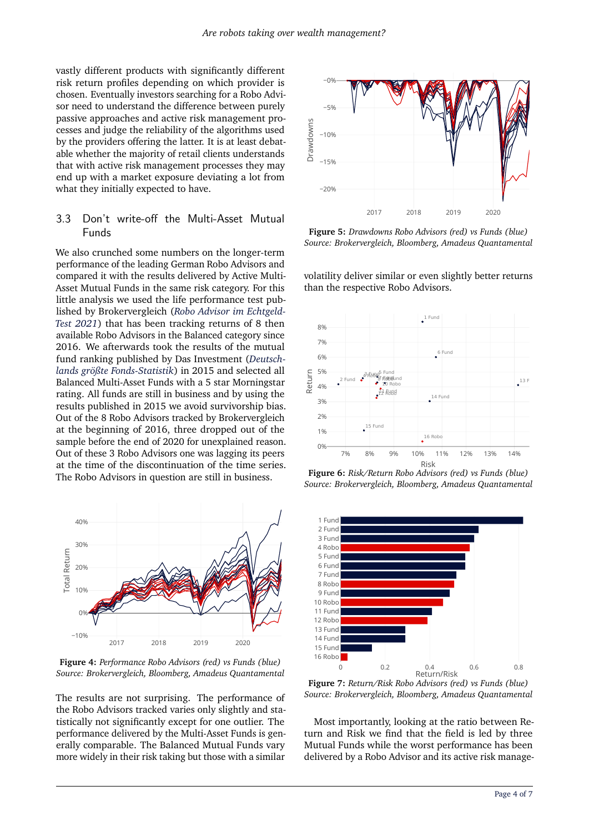vastly different products with significantly different risk return profiles depending on which provider is chosen. Eventually investors searching for a Robo Advisor need to understand the difference between purely passive approaches and active risk management processes and judge the reliability of the algorithms used by the providers offering the latter. It is at least debatable whether the majority of retail clients understands that with active risk management processes they may end up with a market exposure deviating a lot from what they initially expected to have.

#### 3.3 Don't write-off the Multi-Asset Mutual Funds

We also crunched some numbers on the longer-term performance of the leading German Robo Advisors and compared it with the results delivered by Active Multi-Asset Mutual Funds in the same risk category. For this little analysis we used the life performance test published by Brokervergleich (*[Robo Advisor im Echtgeld-](#page-6-5)[Test 2021](#page-6-5)*) that has been tracking returns of 8 then available Robo Advisors in the Balanced category since 2016. We afterwards took the results of the mutual fund ranking published by Das Investment (*[Deutsch](#page-6-6)[lands größte Fonds-Statistik](#page-6-6)*) in 2015 and selected all Balanced Multi-Asset Funds with a 5 star Morningstar rating. All funds are still in business and by using the results published in 2015 we avoid survivorship bias. Out of the 8 Robo Advisors tracked by Brokervergleich at the beginning of 2016, three dropped out of the sample before the end of 2020 for unexplained reason. Out of these 3 Robo Advisors one was lagging its peers at the time of the discontinuation of the time series. The Robo Advisors in question are still in business.



**Figure 4:** *Performance Robo Advisors (red) vs Funds (blue) Source: Brokervergleich, Bloomberg, Amadeus Quantamental*

The results are not surprising. The performance of the Robo Advisors tracked varies only slightly and statistically not significantly except for one outlier. The performance delivered by the Multi-Asset Funds is generally comparable. The Balanced Mutual Funds vary more widely in their risk taking but those with a similar



**Figure 5:** *Drawdowns Robo Advisors (red) vs Funds (blue) Source: Brokervergleich, Bloomberg, Amadeus Quantamental*

volatility deliver similar or even slightly better returns than the respective Robo Advisors.



**Figure 6:** *Risk/Return Robo Advisors (red) vs Funds (blue) Source: Brokervergleich, Bloomberg, Amadeus Quantamental*



**Figure 7:** *Return/Risk Robo Advisors (red) vs Funds (blue) Source: Brokervergleich, Bloomberg, Amadeus Quantamental*

Most importantly, looking at the ratio between Return and Risk we find that the field is led by three Mutual Funds while the worst performance has been delivered by a Robo Advisor and its active risk manage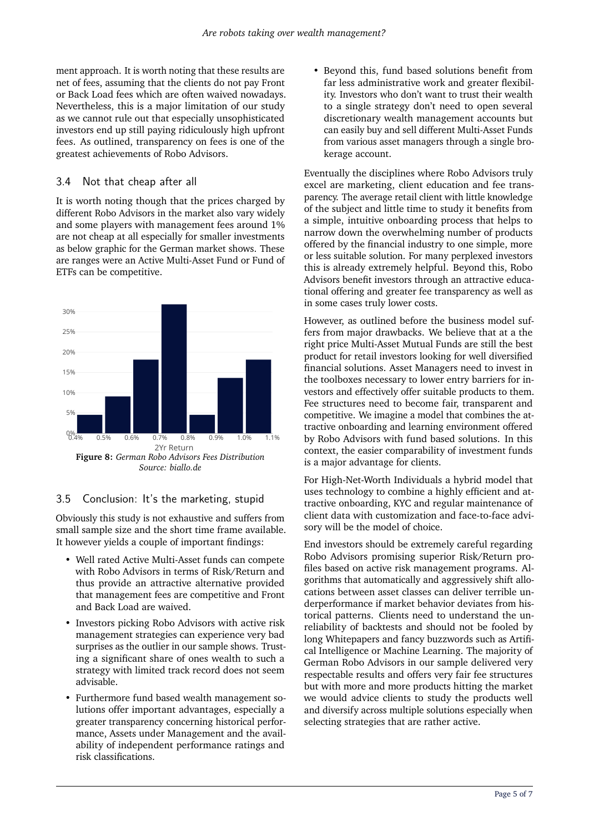ment approach. It is worth noting that these results are net of fees, assuming that the clients do not pay Front or Back Load fees which are often waived nowadays. Nevertheless, this is a major limitation of our study as we cannot rule out that especially unsophisticated investors end up still paying ridiculously high upfront fees. As outlined, transparency on fees is one of the greatest achievements of Robo Advisors.

### 3.4 Not that cheap after all

It is worth noting though that the prices charged by different Robo Advisors in the market also vary widely and some players with management fees around 1% are not cheap at all especially for smaller investments as below graphic for the German market shows. These are ranges were an Active Multi-Asset Fund or Fund of ETFs can be competitive.



## 3.5 Conclusion: It's the marketing, stupid

Obviously this study is not exhaustive and suffers from small sample size and the short time frame available. It however yields a couple of important findings:

- Well rated Active Multi-Asset funds can compete with Robo Advisors in terms of Risk/Return and thus provide an attractive alternative provided that management fees are competitive and Front and Back Load are waived.
- Investors picking Robo Advisors with active risk management strategies can experience very bad surprises as the outlier in our sample shows. Trusting a significant share of ones wealth to such a strategy with limited track record does not seem advisable.
- Furthermore fund based wealth management solutions offer important advantages, especially a greater transparency concerning historical performance, Assets under Management and the availability of independent performance ratings and risk classifications.

• Beyond this, fund based solutions benefit from far less administrative work and greater flexibility. Investors who don't want to trust their wealth to a single strategy don't need to open several discretionary wealth management accounts but can easily buy and sell different Multi-Asset Funds from various asset managers through a single brokerage account.

Eventually the disciplines where Robo Advisors truly excel are marketing, client education and fee transparency. The average retail client with little knowledge of the subject and little time to study it benefits from a simple, intuitive onboarding process that helps to narrow down the overwhelming number of products offered by the financial industry to one simple, more or less suitable solution. For many perplexed investors this is already extremely helpful. Beyond this, Robo Advisors benefit investors through an attractive educational offering and greater fee transparency as well as in some cases truly lower costs.

However, as outlined before the business model suffers from major drawbacks. We believe that at a the right price Multi-Asset Mutual Funds are still the best product for retail investors looking for well diversified financial solutions. Asset Managers need to invest in the toolboxes necessary to lower entry barriers for investors and effectively offer suitable products to them. Fee structures need to become fair, transparent and competitive. We imagine a model that combines the attractive onboarding and learning environment offered by Robo Advisors with fund based solutions. In this context, the easier comparability of investment funds is a major advantage for clients.

For High-Net-Worth Individuals a hybrid model that uses technology to combine a highly efficient and attractive onboarding, KYC and regular maintenance of client data with customization and face-to-face advisory will be the model of choice.

End investors should be extremely careful regarding Robo Advisors promising superior Risk/Return profiles based on active risk management programs. Algorithms that automatically and aggressively shift allocations between asset classes can deliver terrible underperformance if market behavior deviates from historical patterns. Clients need to understand the unreliability of backtests and should not be fooled by long Whitepapers and fancy buzzwords such as Artifical Intelligence or Machine Learning. The majority of German Robo Advisors in our sample delivered very respectable results and offers very fair fee structures but with more and more products hitting the market we would advice clients to study the products well and diversify across multiple solutions especially when selecting strategies that are rather active.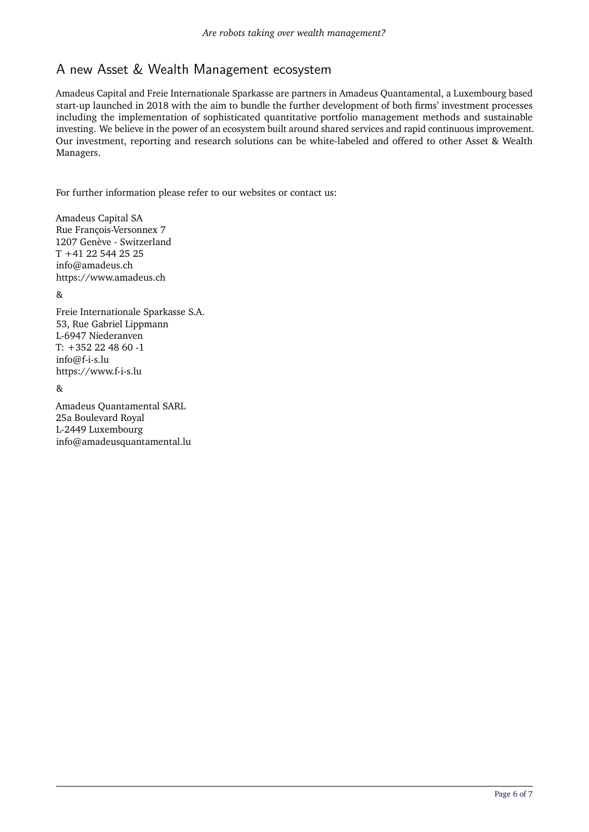# A new Asset & Wealth Management ecosystem

Amadeus Capital and Freie Internationale Sparkasse are partners in Amadeus Quantamental, a Luxembourg based start-up launched in 2018 with the aim to bundle the further development of both firms' investment processes including the implementation of sophisticated quantitative portfolio management methods and sustainable investing. We believe in the power of an ecosystem built around shared services and rapid continuous improvement. Our investment, reporting and research solutions can be white-labeled and offered to other Asset & Wealth Managers.

For further information please refer to our websites or contact us:

Amadeus Capital SA Rue François-Versonnex 7 1207 Genève - Switzerland T +41 22 544 25 25 info@amadeus.ch https://www.amadeus.ch

 $\mathcal{R}_{\mathcal{I}}$ 

Freie Internationale Sparkasse S.A. 53, Rue Gabriel Lippmann L-6947 Niederanven T: +352 22 48 60 -1 info@f-i-s.lu https://www.f-i-s.lu

&

Amadeus Quantamental SARL 25a Boulevard Royal L-2449 Luxembourg info@amadeusquantamental.lu